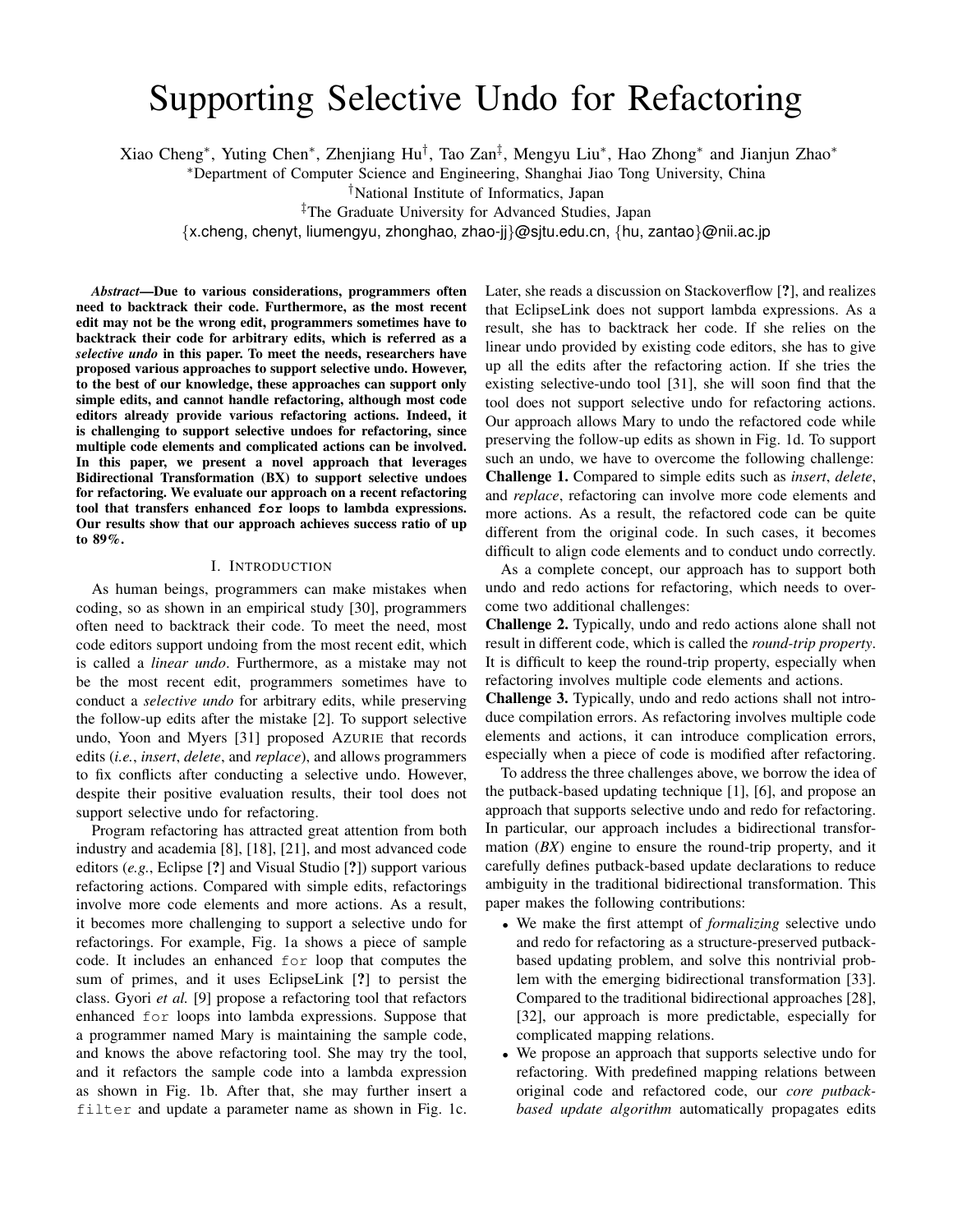# Supporting Selective Undo for Refactoring

Xiao Cheng<sup>∗</sup>, Yuting Chen<sup>∗</sup>, Zhenjiang Hu<sup>†</sup>, Tao Zan<sup>‡</sup>, Mengyu Liu<sup>∗</sup>, Hao Zhong<sup>∗</sup> and Jianjun Zhao<sup>∗</sup>

<sup>∗</sup>Department of Computer Science and Engineering, Shanghai Jiao Tong University, China

†National Institute of Informatics, Japan

‡The Graduate University for Advanced Studies, Japan

{x.cheng, chenyt, liumengyu, zhonghao, zhao-jj}@sjtu.edu.cn, {hu, zantao}@nii.ac.jp

*Abstract*—Due to various considerations, programmers often need to backtrack their code. Furthermore, as the most recent edit may not be the wrong edit, programmers sometimes have to backtrack their code for arbitrary edits, which is referred as a *selective undo* in this paper. To meet the needs, researchers have proposed various approaches to support selective undo. However, to the best of our knowledge, these approaches can support only simple edits, and cannot handle refactoring, although most code editors already provide various refactoring actions. Indeed, it is challenging to support selective undoes for refactoring, since multiple code elements and complicated actions can be involved. In this paper, we present a novel approach that leverages Bidirectional Transformation (BX) to support selective undoes for refactoring. We evaluate our approach on a recent refactoring tool that transfers enhanced **for** loops to lambda expressions. Our results show that our approach achieves success ratio of up to 89%.

#### I. INTRODUCTION

As human beings, programmers can make mistakes when coding, so as shown in an empirical study [30], programmers often need to backtrack their code. To meet the need, most code editors support undoing from the most recent edit, which is called a *linear undo*. Furthermore, as a mistake may not be the most recent edit, programmers sometimes have to conduct a *selective undo* for arbitrary edits, while preserving the follow-up edits after the mistake [2]. To support selective undo, Yoon and Myers [31] proposed AZURIE that records edits (*i.e.*, *insert*, *delete*, and *replace*), and allows programmers to fix conflicts after conducting a selective undo. However, despite their positive evaluation results, their tool does not support selective undo for refactoring.

Program refactoring has attracted great attention from both industry and academia [8], [18], [21], and most advanced code editors (*e.g.*, Eclipse [?] and Visual Studio [?]) support various refactoring actions. Compared with simple edits, refactorings involve more code elements and more actions. As a result, it becomes more challenging to support a selective undo for refactorings. For example, Fig. 1a shows a piece of sample code. It includes an enhanced for loop that computes the sum of primes, and it uses EclipseLink [?] to persist the class. Gyori *et al.* [9] propose a refactoring tool that refactors enhanced for loops into lambda expressions. Suppose that a programmer named Mary is maintaining the sample code, and knows the above refactoring tool. She may try the tool, and it refactors the sample code into a lambda expression as shown in Fig. 1b. After that, she may further insert a filter and update a parameter name as shown in Fig. 1c.

Later, she reads a discussion on Stackoverflow [?], and realizes that EclipseLink does not support lambda expressions. As a result, she has to backtrack her code. If she relies on the linear undo provided by existing code editors, she has to give up all the edits after the refactoring action. If she tries the existing selective-undo tool [31], she will soon find that the tool does not support selective undo for refactoring actions. Our approach allows Mary to undo the refactored code while preserving the follow-up edits as shown in Fig. 1d. To support such an undo, we have to overcome the following challenge: Challenge 1. Compared to simple edits such as *insert*, *delete*, and *replace*, refactoring can involve more code elements and more actions. As a result, the refactored code can be quite different from the original code. In such cases, it becomes difficult to align code elements and to conduct undo correctly.

As a complete concept, our approach has to support both undo and redo actions for refactoring, which needs to overcome two additional challenges:

Challenge 2. Typically, undo and redo actions alone shall not result in different code, which is called the *round-trip property*. It is difficult to keep the round-trip property, especially when refactoring involves multiple code elements and actions.

Challenge 3. Typically, undo and redo actions shall not introduce compilation errors. As refactoring involves multiple code elements and actions, it can introduce complication errors, especially when a piece of code is modified after refactoring.

To address the three challenges above, we borrow the idea of the putback-based updating technique [1], [6], and propose an approach that supports selective undo and redo for refactoring. In particular, our approach includes a bidirectional transformation (*BX*) engine to ensure the round-trip property, and it carefully defines putback-based update declarations to reduce ambiguity in the traditional bidirectional transformation. This paper makes the following contributions:

- We make the first attempt of *formalizing* selective undo and redo for refactoring as a structure-preserved putbackbased updating problem, and solve this nontrivial problem with the emerging bidirectional transformation [33]. Compared to the traditional bidirectional approaches [28], [32], our approach is more predictable, especially for complicated mapping relations.
- We propose an approach that supports selective undo for refactoring. With predefined mapping relations between original code and refactored code, our *core putbackbased update algorithm* automatically propagates edits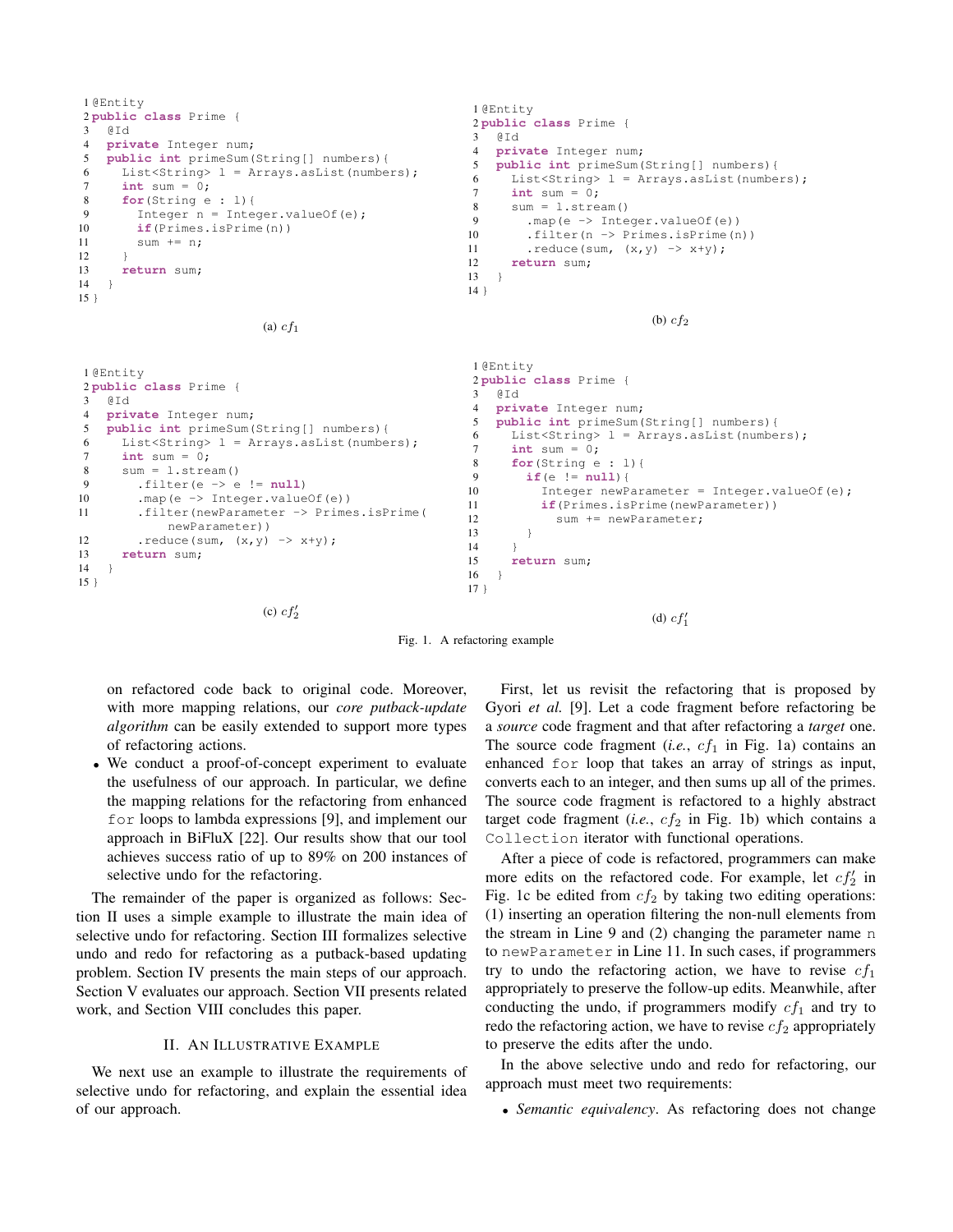```
1 @Entity
2 public class Prime {
3 @Id
4 private Integer num;
5 public int primeSum(String[] numbers){
6 List<String> l = Arrays.asList(numbers);
7 int \sin m = 0:
8 for(String e : l){
9 Integer n = Integer.valueOf(e);
10 if(Primes.isPrime(n))
11 sum += n;
12 \quad \}13 return sum;
14 \quad \}15 }
```
(a)  $cf_1$ 

```
1 @Entity
2 public class Prime {
3 @Id
4 private Integer num;
5 public int primeSum(String[] numbers){
6 List<String> l = Arrays.asList(numbers);
7 int sum = 0;
8 sum = l.stream()
9 .filter(e -> e != null)
10 .map(e -> Integer.valueOf(e))
11 .filter(newParameter -> Primes.isPrime(
           newParameter))
12 . reduce(sum, (x, y) \rightarrow x+y);
13 return sum;
14 }
15 }
                                                   1 @Entity
                                                   2 public class Prime {
                                                    3 @Id
                                                   4 private Integer num;
                                                    5 public int primeSum(String[] numbers){
                                                    6 List<String> l = Arrays.asList(numbers);
                                                   7 int sum = 0;
                                                    8 for(String e : 1){<br>9 if(\epsilon != null){
                                                   10 Integer newParameter = Integer.valueOf(e);
                                                   11 if(Primes.isPrime(newParameter))
                                                   12 sum += newParameter;
                                                   13 }
                                                   14 \t315 return sum;
                                                   16 }
                                                   17 }
```
 $(c) cf'_2$ 

Fig. 1. A refactoring example

1 @Entity

3 @Id

 $13 \quad \}$ 14 }

2 **public class** Prime {

7 **int** sum = 0;  $8$  sum =  $1.$ stream()

12 **return** sum;

4 **private** Integer num;

5 **public int** primeSum(String[] numbers){ 6 List<String> l = Arrays.asList(numbers);

(b)  $cf_2$ 

9 .map(e -> Integer.valueOf(e)) 10 .filter(n -> Primes.isPrime(n)) 11 .reduce(sum,  $(x, y) \rightarrow x+y$ );

 $if(e != null)$ {

on refactored code back to original code. Moreover, with more mapping relations, our *core putback-update algorithm* can be easily extended to support more types of refactoring actions.

• We conduct a proof-of-concept experiment to evaluate the usefulness of our approach. In particular, we define the mapping relations for the refactoring from enhanced for loops to lambda expressions [9], and implement our approach in BiFluX [22]. Our results show that our tool achieves success ratio of up to 89% on 200 instances of selective undo for the refactoring.

The remainder of the paper is organized as follows: Section II uses a simple example to illustrate the main idea of selective undo for refactoring. Section III formalizes selective undo and redo for refactoring as a putback-based updating problem. Section IV presents the main steps of our approach. Section V evaluates our approach. Section VII presents related work, and Section VIII concludes this paper.

## II. AN ILLUSTRATIVE EXAMPLE

We next use an example to illustrate the requirements of selective undo for refactoring, and explain the essential idea of our approach.

First, let us revisit the refactoring that is proposed by Gyori *et al.* [9]. Let a code fragment before refactoring be a *source* code fragment and that after refactoring a *target* one. The source code fragment  $(i.e., cf<sub>1</sub>$  in Fig. 1a) contains an enhanced for loop that takes an array of strings as input, converts each to an integer, and then sums up all of the primes. The source code fragment is refactored to a highly abstract target code fragment (*i.e.*,  $cf_2$  in Fig. 1b) which contains a Collection iterator with functional operations.

(d)  $cf'_1$ 

After a piece of code is refactored, programmers can make more edits on the refactored code. For example, let  $cf'_2$  in Fig. 1c be edited from  $cf_2$  by taking two editing operations: (1) inserting an operation filtering the non-null elements from the stream in Line 9 and (2) changing the parameter name n to newParameter in Line 11. In such cases, if programmers try to undo the refactoring action, we have to revise  $cf_1$ appropriately to preserve the follow-up edits. Meanwhile, after conducting the undo, if programmers modify  $cf_1$  and try to redo the refactoring action, we have to revise  $cf_2$  appropriately to preserve the edits after the undo.

In the above selective undo and redo for refactoring, our approach must meet two requirements:

• *Semantic equivalency*. As refactoring does not change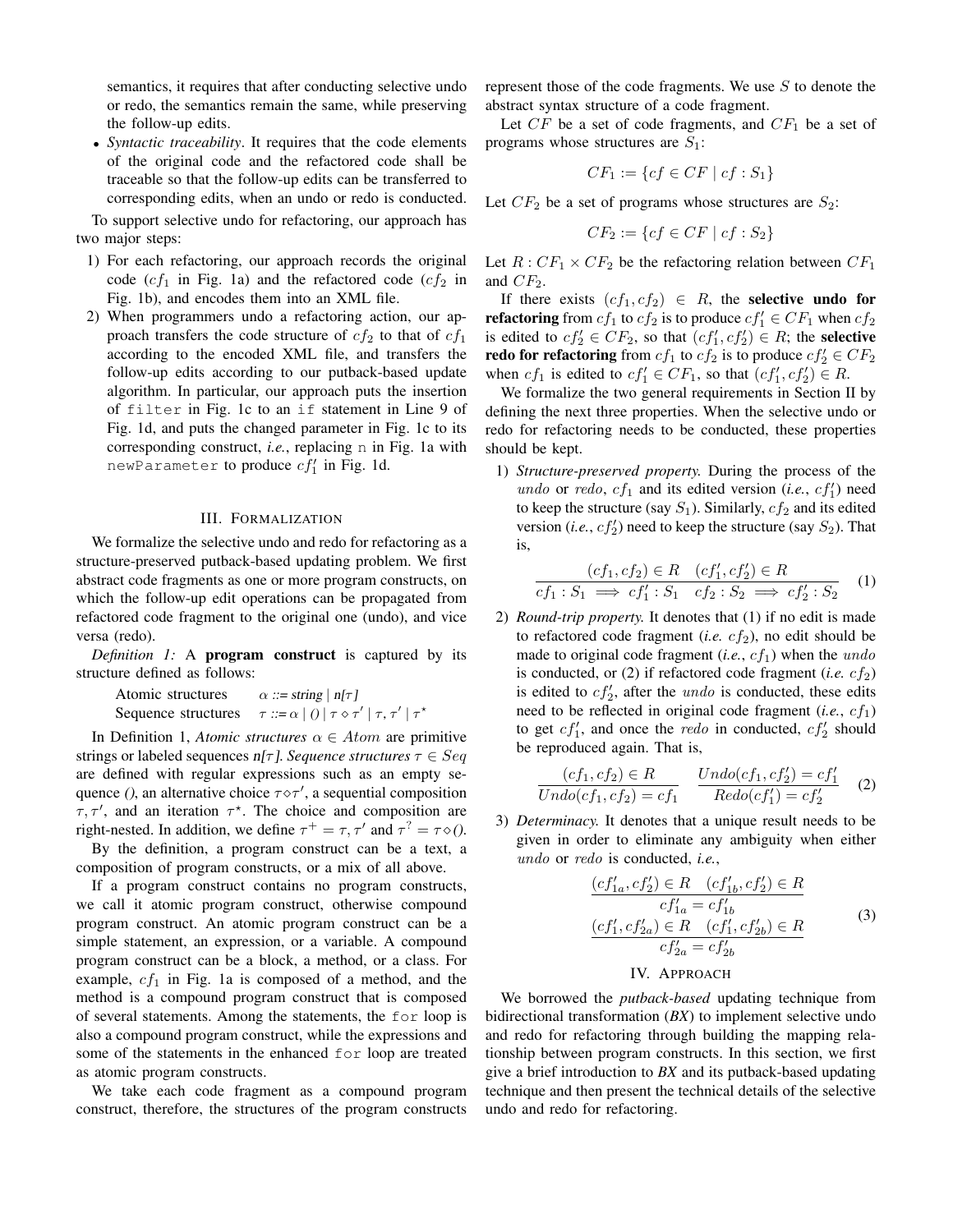semantics, it requires that after conducting selective undo or redo, the semantics remain the same, while preserving the follow-up edits.

• *Syntactic traceability*. It requires that the code elements of the original code and the refactored code shall be traceable so that the follow-up edits can be transferred to corresponding edits, when an undo or redo is conducted.

To support selective undo for refactoring, our approach has two major steps:

- 1) For each refactoring, our approach records the original code  $(cf_1$  in Fig. 1a) and the refactored code  $(cf_2$  in Fig. 1b), and encodes them into an XML file.
- 2) When programmers undo a refactoring action, our approach transfers the code structure of  $cf_2$  to that of  $cf_1$ according to the encoded XML file, and transfers the follow-up edits according to our putback-based update algorithm. In particular, our approach puts the insertion of filter in Fig. 1c to an if statement in Line 9 of Fig. 1d, and puts the changed parameter in Fig. 1c to its corresponding construct, *i.e.*, replacing n in Fig. 1a with newParameter to produce  $cf'_1$  in Fig. 1d.

## III. FORMALIZATION

We formalize the selective undo and redo for refactoring as a structure-preserved putback-based updating problem. We first abstract code fragments as one or more program constructs, on which the follow-up edit operations can be propagated from refactored code fragment to the original one (undo), and vice versa (redo).

*Definition 1:* A program construct is captured by its structure defined as follows:

| Atomic structures   | $\alpha ::= string \mid n[\tau]$                                    |
|---------------------|---------------------------------------------------------------------|
| Sequence structures | $\tau ::= \alpha   ()   \tau \diamond \tau'   \tau, \tau'   \tau^*$ |

In Definition 1, *Atomic structures*  $\alpha \in Atom$  are primitive strings or labeled sequences n[τ ]. *Sequence structures* τ ∈ Seq are defined with regular expressions such as an empty sequence (), an alternative choice  $\tau \diamond \tau'$ , a sequential composition  $\tau$ ,  $\tau'$ , and an iteration  $\tau^*$ . The choice and composition are right-nested. In addition, we define  $\tau^+ = \tau, \tau'$  and  $\tau^? = \tau \diamond 0$ .

By the definition, a program construct can be a text, a composition of program constructs, or a mix of all above.

If a program construct contains no program constructs, we call it atomic program construct, otherwise compound program construct. An atomic program construct can be a simple statement, an expression, or a variable. A compound program construct can be a block, a method, or a class. For example,  $cf_1$  in Fig. 1a is composed of a method, and the method is a compound program construct that is composed of several statements. Among the statements, the for loop is also a compound program construct, while the expressions and some of the statements in the enhanced for loop are treated as atomic program constructs.

We take each code fragment as a compound program construct, therefore, the structures of the program constructs

represent those of the code fragments. We use  $S$  to denote the abstract syntax structure of a code fragment.

Let  $CF$  be a set of code fragments, and  $CF_1$  be a set of programs whose structures are  $S_1$ :

$$
CF_1 := \{ cf \in CF \mid cf : S_1 \}
$$

Let  $CF_2$  be a set of programs whose structures are  $S_2$ :

$$
CF_2 := \{ cf \in CF \mid cf : S_2 \}
$$

Let  $R: CF_1 \times CF_2$  be the refactoring relation between  $CF_1$ and  $CF_2$ .

If there exists  $(cf_1, cf_2) \in R$ , the **selective undo for refactoring** from  $cf_1$  to  $cf_2$  is to produce  $cf'_1 \in CF_1$  when  $cf_2$ is edited to  $cf_2 \in CF_2$ , so that  $(cf'_1, cf'_2) \in R$ ; the **selective** redo for refactoring from  $cf_1$  to  $cf_2$  is to produce  $cf'_2 \in CF_2$ when  $cf_1$  is edited to  $cf'_1 \in CF_1$ , so that  $(cf'_1, cf'_2) \in R$ .

We formalize the two general requirements in Section II by defining the next three properties. When the selective undo or redo for refactoring needs to be conducted, these properties should be kept.

1) *Structure-preserved property.* During the process of the undo or redo,  $cf_1$  and its edited version (*i.e.*,  $cf'_1$ ) need to keep the structure (say  $S_1$ ). Similarly,  $cf_2$  and its edited version (*i.e.*,  $cf'_2$ ) need to keep the structure (say  $S_2$ ). That is,

$$
\frac{(cf_1, cf_2) \in R \quad (cf'_1, cf'_2) \in R}{cf_1: S_1 \implies cf'_1: S_1 \quad cf_2: S_2 \implies cf'_2: S_2} \quad (1)
$$

2) *Round-trip property.* It denotes that (1) if no edit is made to refactored code fragment (*i.e.*  $cf_2$ ), no edit should be made to original code fragment  $(i.e., cf<sub>1</sub>)$  when the *undo* is conducted, or  $(2)$  if refactored code fragment (*i.e.*  $cf_2$ ) is edited to  $cf'_2$ , after the *undo* is conducted, these edits need to be reflected in original code fragment  $(i.e., cf<sub>1</sub>)$ to get  $cf'_1$ , and once the *redo* in conducted,  $cf'_2$  should be reproduced again. That is,

$$
\frac{(cf_1, cf_2) \in R}{Undo(cf_1, cf_2) = cf_1} \quad \frac{Undo(cf_1, cf'_2) = cf'_1}{Redo(cf'_1) = cf'_2} \quad (2)
$$

3) *Determinacy.* It denotes that a unique result needs to be given in order to eliminate any ambiguity when either undo or redo is conducted, *i.e.*,

$$
(cf'_{1a}, cf'_2) \in R \quad (cf'_{1b}, cf'_2) \in R
$$

$$
cf'_{1a} = cf'_{1b}
$$

$$
(cf'_1, cf'_{2a}) \in R \quad (cf'_1, cf'_{2b}) \in R
$$

$$
cf'_{2a} = cf'_{2b}
$$

$$
IV. APPROACH
$$

We borrowed the *putback-based* updating technique from bidirectional transformation (*BX*) to implement selective undo and redo for refactoring through building the mapping relationship between program constructs. In this section, we first give a brief introduction to *BX* and its putback-based updating technique and then present the technical details of the selective undo and redo for refactoring.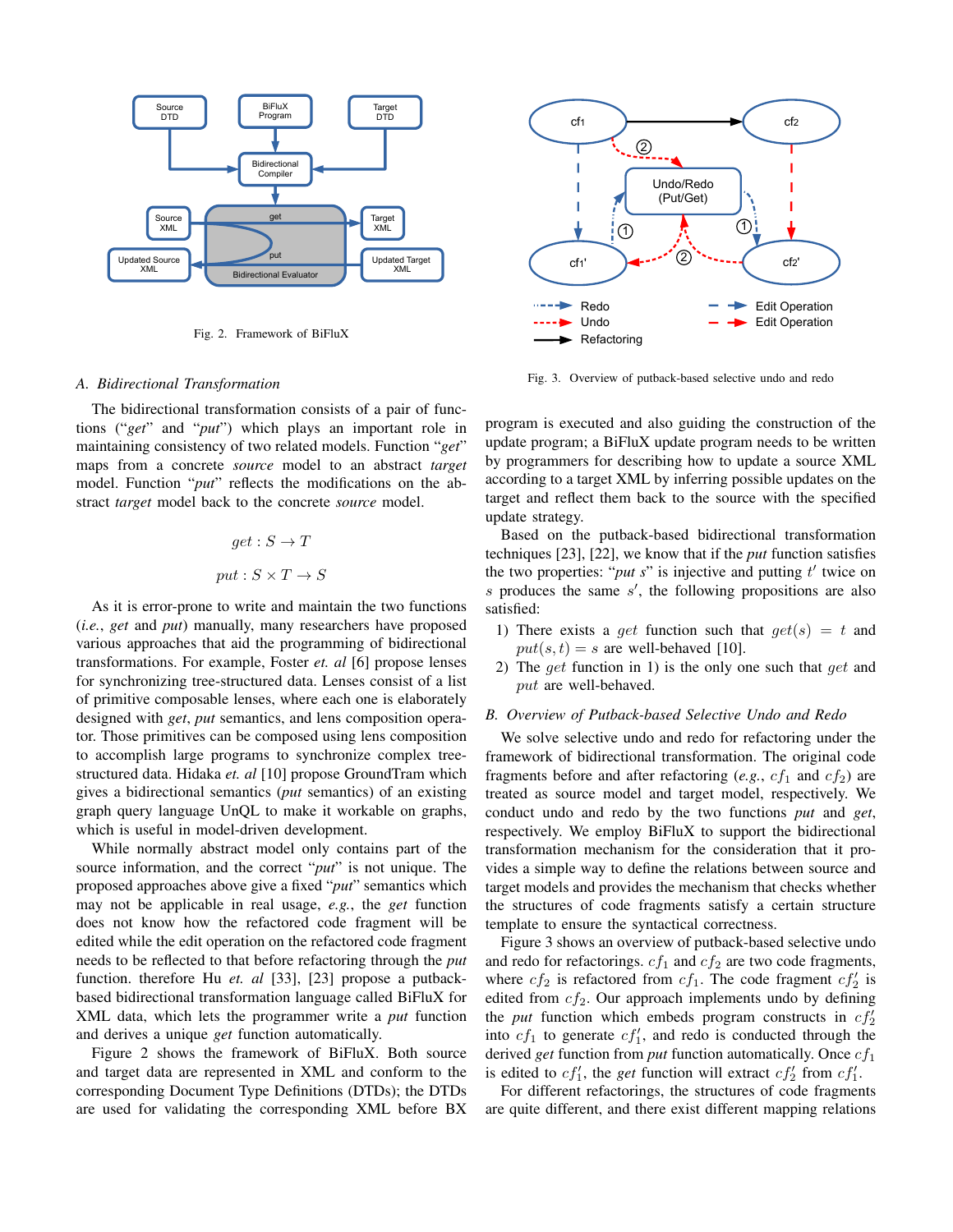

Fig. 2. Framework of BiFluX

#### *A. Bidirectional Transformation*

The bidirectional transformation consists of a pair of functions ("*get*" and "*put*") which plays an important role in maintaining consistency of two related models. Function "*get*" maps from a concrete *source* model to an abstract *target* model. Function "*put*" reflects the modifications on the abstract *target* model back to the concrete *source* model.

$$
get: S \to T
$$

$$
put: S \times T \to S
$$

As it is error-prone to write and maintain the two functions (*i.e.*, *get* and *put*) manually, many researchers have proposed various approaches that aid the programming of bidirectional transformations. For example, Foster *et. al* [6] propose lenses for synchronizing tree-structured data. Lenses consist of a list of primitive composable lenses, where each one is elaborately designed with *get*, *put* semantics, and lens composition operator. Those primitives can be composed using lens composition to accomplish large programs to synchronize complex treestructured data. Hidaka *et. al* [10] propose GroundTram which gives a bidirectional semantics (*put* semantics) of an existing graph query language UnQL to make it workable on graphs, which is useful in model-driven development.

While normally abstract model only contains part of the source information, and the correct "*put*" is not unique. The proposed approaches above give a fixed "*put*" semantics which may not be applicable in real usage, *e.g.*, the *get* function does not know how the refactored code fragment will be edited while the edit operation on the refactored code fragment needs to be reflected to that before refactoring through the *put* function. therefore Hu *et. al* [33], [23] propose a putbackbased bidirectional transformation language called BiFluX for XML data, which lets the programmer write a *put* function and derives a unique *get* function automatically.

Figure 2 shows the framework of BiFluX. Both source and target data are represented in XML and conform to the corresponding Document Type Definitions (DTDs); the DTDs are used for validating the corresponding XML before BX



Fig. 3. Overview of putback-based selective undo and redo

program is executed and also guiding the construction of the update program; a BiFluX update program needs to be written by programmers for describing how to update a source XML according to a target XML by inferring possible updates on the target and reflect them back to the source with the specified update strategy.

Based on the putback-based bidirectional transformation techniques [23], [22], we know that if the *put* function satisfies the two properties: " $put s$ " is injective and putting  $t'$  twice on  $s$  produces the same  $s'$ , the following propositions are also satisfied:

- 1) There exists a get function such that  $get(s) = t$  and  $put(s, t) = s$  are well-behaved [10].
- 2) The get function in 1) is the only one such that get and put are well-behaved.

#### *B. Overview of Putback-based Selective Undo and Redo*

We solve selective undo and redo for refactoring under the framework of bidirectional transformation. The original code fragments before and after refactoring  $(e.g., cf<sub>1</sub>$  and  $cf<sub>2</sub>)$  are treated as source model and target model, respectively. We conduct undo and redo by the two functions *put* and *get*, respectively. We employ BiFluX to support the bidirectional transformation mechanism for the consideration that it provides a simple way to define the relations between source and target models and provides the mechanism that checks whether the structures of code fragments satisfy a certain structure template to ensure the syntactical correctness.

Figure 3 shows an overview of putback-based selective undo and redo for refactorings.  $cf_1$  and  $cf_2$  are two code fragments, where  $cf_2$  is refactored from  $cf_1$ . The code fragment  $cf_2$  is edited from  $cf_2$ . Our approach implements undo by defining the *put* function which embeds program constructs in  $cf'_2$ into  $cf_1$  to generate  $cf'_1$ , and redo is conducted through the derived *get* function from *put* function automatically. Once  $cf_1$ is edited to  $cf'_1$ , the *get* function will extract  $cf'_2$  from  $cf'_1$ .

For different refactorings, the structures of code fragments are quite different, and there exist different mapping relations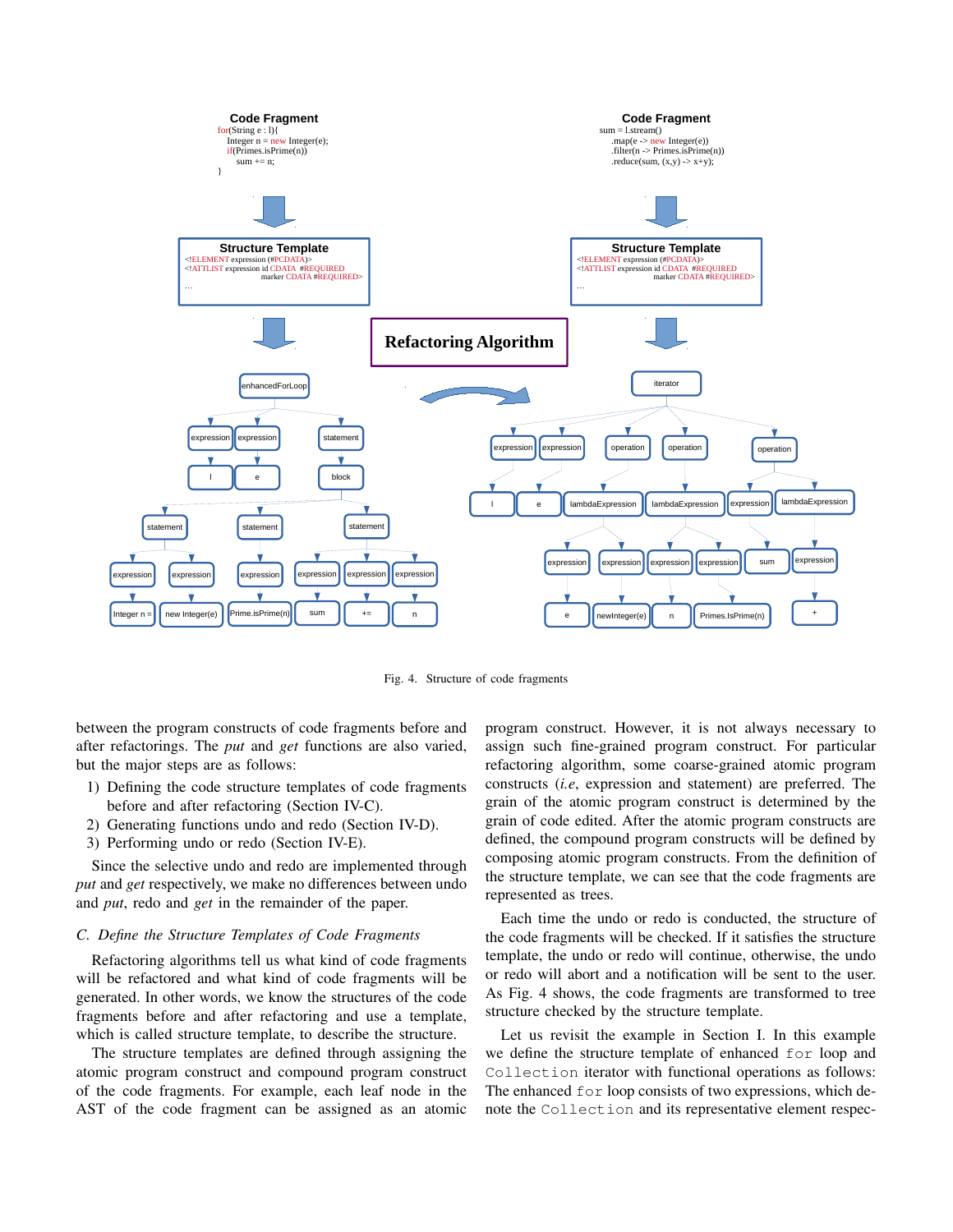

Fig. 4. Structure of code fragments

between the program constructs of code fragments before and after refactorings. The *put* and *get* functions are also varied, but the major steps are as follows:

- 1) Defining the code structure templates of code fragments before and after refactoring (Section IV-C).
- 2) Generating functions undo and redo (Section IV-D).
- 3) Performing undo or redo (Section IV-E).

Since the selective undo and redo are implemented through *put* and *get* respectively, we make no differences between undo and *put*, redo and *get* in the remainder of the paper.

#### *C. Define the Structure Templates of Code Fragments*

Refactoring algorithms tell us what kind of code fragments will be refactored and what kind of code fragments will be generated. In other words, we know the structures of the code fragments before and after refactoring and use a template, which is called structure template, to describe the structure.

The structure templates are defined through assigning the atomic program construct and compound program construct of the code fragments. For example, each leaf node in the AST of the code fragment can be assigned as an atomic program construct. However, it is not always necessary to assign such fine-grained program construct. For particular refactoring algorithm, some coarse-grained atomic program constructs (*i.e*, expression and statement) are preferred. The grain of the atomic program construct is determined by the grain of code edited. After the atomic program constructs are defined, the compound program constructs will be defined by composing atomic program constructs. From the definition of the structure template, we can see that the code fragments are represented as trees.

Each time the undo or redo is conducted, the structure of the code fragments will be checked. If it satisfies the structure template, the undo or redo will continue, otherwise, the undo or redo will abort and a notification will be sent to the user. As Fig. 4 shows, the code fragments are transformed to tree structure checked by the structure template.

Let us revisit the example in Section I. In this example we define the structure template of enhanced for loop and Collection iterator with functional operations as follows: The enhanced for loop consists of two expressions, which denote the Collection and its representative element respec-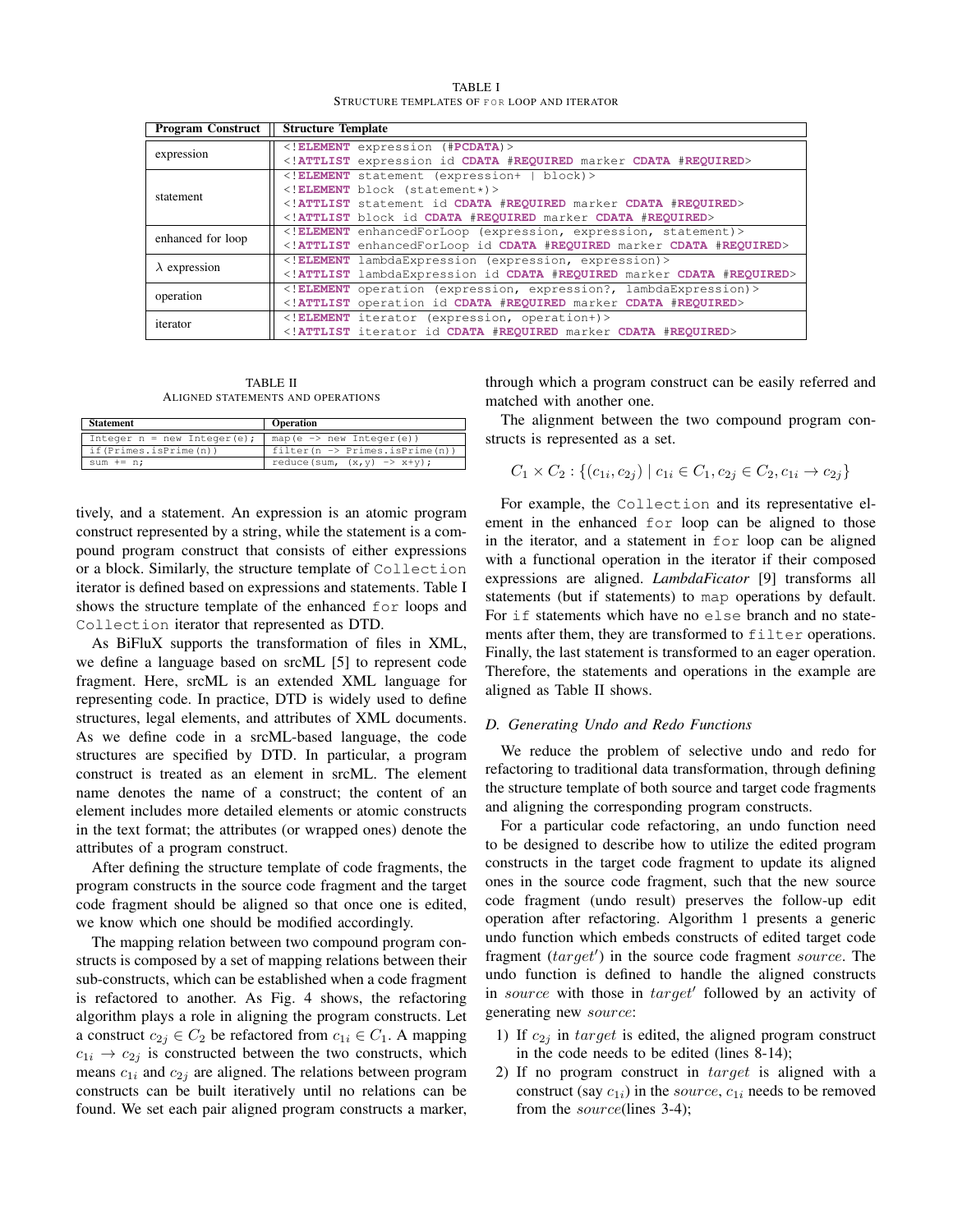TABLE I STRUCTURE TEMPLATES OF FOR LOOP AND ITERATOR

| <b>Program Construct</b> | <b>Structure Template</b>                                          |
|--------------------------|--------------------------------------------------------------------|
|                          | ELEMENT expression (#PCDATA)                                       |
| expression               | ATTLIST expression id CDATA #REQUIRED marker CDATA #REQUIRED       |
|                          | ELEMENT statement (expression+   block)                            |
| statement                | ELEMENT block (statement*)                                         |
|                          | ATTLIST statement id CDATA #REQUIRED marker CDATA #REQUIRED        |
|                          | ATTLIST block id CDATA #REQUIRED marker CDATA #REQUIRED            |
| enhanced for loop        | ELEMENT enhancedForLoop (expression, expression, statement)        |
|                          | ATTLIST enhancedForLoop id CDATA #REQUIRED marker CDATA #REQUIRED  |
| $\lambda$ expression     | ELEMENT lambdaExpression (expression, expression)                  |
|                          | ATTLIST lambdaExpression id CDATA #REQUIRED marker CDATA #REQUIRED |
| operation                | ELEMENT operation (expression, expression?, lambdaExpression)      |
|                          | ATTLIST operation id CDATA #REQUIRED marker CDATA #REQUIRED        |
| iterator                 | ELEMENT iterator (expression, operation+)                          |
|                          | ATTLIST iterator id CDATA #REQUIRED marker CDATA #REQUIRED         |

TABLE II ALIGNED STATEMENTS AND OPERATIONS

| <b>Statement</b>               | <b>Operation</b>                           |
|--------------------------------|--------------------------------------------|
| Integer $n = new Integer(e)$ ; | $map(e \rightarrow new Integer(e))$        |
| if(Primes.isPrime(n))          | filter $(n \rightarrow Primes.isPrime(n))$ |
| sum $+= n;$                    | reduce(sum, $(x, y) \rightarrow x+y$ );    |

tively, and a statement. An expression is an atomic program construct represented by a string, while the statement is a compound program construct that consists of either expressions or a block. Similarly, the structure template of Collection iterator is defined based on expressions and statements. Table I shows the structure template of the enhanced for loops and Collection iterator that represented as DTD.

As BiFluX supports the transformation of files in XML, we define a language based on srcML [5] to represent code fragment. Here, srcML is an extended XML language for representing code. In practice, DTD is widely used to define structures, legal elements, and attributes of XML documents. As we define code in a srcML-based language, the code structures are specified by DTD. In particular, a program construct is treated as an element in srcML. The element name denotes the name of a construct; the content of an element includes more detailed elements or atomic constructs in the text format; the attributes (or wrapped ones) denote the attributes of a program construct.

After defining the structure template of code fragments, the program constructs in the source code fragment and the target code fragment should be aligned so that once one is edited, we know which one should be modified accordingly.

The mapping relation between two compound program constructs is composed by a set of mapping relations between their sub-constructs, which can be established when a code fragment is refactored to another. As Fig. 4 shows, the refactoring algorithm plays a role in aligning the program constructs. Let a construct  $c_{2j} \in C_2$  be refactored from  $c_{1i} \in C_1$ . A mapping  $c_{1i} \rightarrow c_{2i}$  is constructed between the two constructs, which means  $c_{1i}$  and  $c_{2i}$  are aligned. The relations between program constructs can be built iteratively until no relations can be found. We set each pair aligned program constructs a marker,

through which a program construct can be easily referred and matched with another one.

The alignment between the two compound program constructs is represented as a set.

$$
C_1 \times C_2 : \{(c_{1i}, c_{2j}) \mid c_{1i} \in C_1, c_{2j} \in C_2, c_{1i} \to c_{2j}\}\
$$

For example, the Collection and its representative element in the enhanced for loop can be aligned to those in the iterator, and a statement in for loop can be aligned with a functional operation in the iterator if their composed expressions are aligned. *LambdaFicator* [9] transforms all statements (but if statements) to map operations by default. For if statements which have no else branch and no statements after them, they are transformed to filter operations. Finally, the last statement is transformed to an eager operation. Therefore, the statements and operations in the example are aligned as Table II shows.

## *D. Generating Undo and Redo Functions*

We reduce the problem of selective undo and redo for refactoring to traditional data transformation, through defining the structure template of both source and target code fragments and aligning the corresponding program constructs.

For a particular code refactoring, an undo function need to be designed to describe how to utilize the edited program constructs in the target code fragment to update its aligned ones in the source code fragment, such that the new source code fragment (undo result) preserves the follow-up edit operation after refactoring. Algorithm 1 presents a generic undo function which embeds constructs of edited target code fragment  $(target')$  in the source code fragment source. The undo function is defined to handle the aligned constructs in source with those in target' followed by an activity of generating new source:

- 1) If  $c_{2i}$  in target is edited, the aligned program construct in the code needs to be edited (lines 8-14);
- 2) If no program construct in target is aligned with a construct (say  $c_{1i}$ ) in the *source*,  $c_{1i}$  needs to be removed from the *source*(lines 3-4);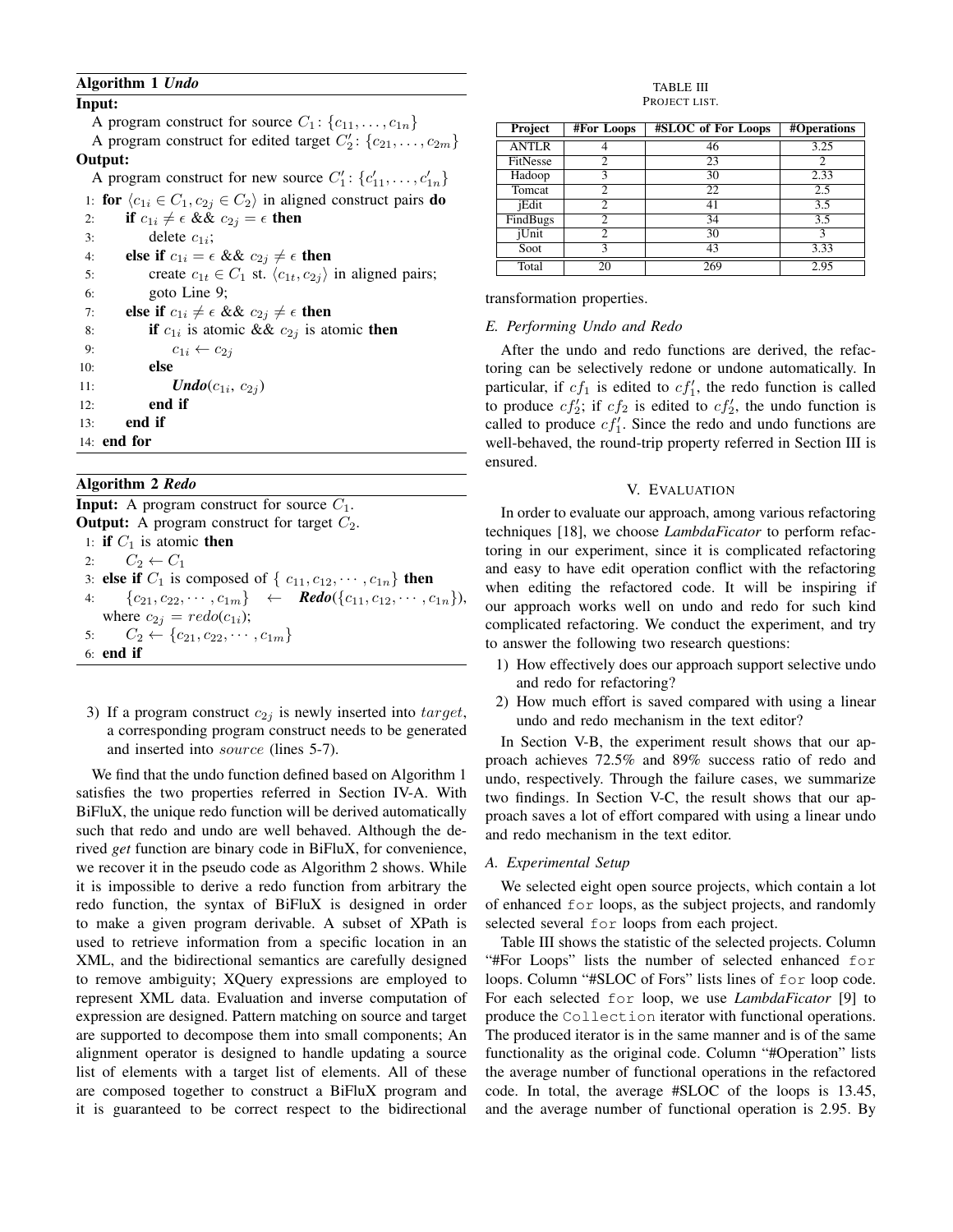## Algorithm 1 *Undo*

## Input:

A program construct for source  $C_1$ :  $\{c_{11}, \ldots, c_{1n}\}$ 

A program construct for edited target  $C_2'$ :  $\{c_{21}, \ldots, c_{2m}\}$ Output:

## A program construct for new source  $C'_1$ :  $\{c'_{11}, \ldots, c'_{1n}\}$

1: for  $\langle c_{1i} \in C_1, c_{2i} \in C_2 \rangle$  in aligned construct pairs do if  $c_{1i} \neq \epsilon \& \& c_{2i} = \epsilon$  then

| ٠.  | $\mathbf{u} \cup_{1} \tau \in \mathbf{c} \mathbf{c} \mathbf{c} \cup_{2} \tau$  |
|-----|--------------------------------------------------------------------------------|
| 3:  | delete $c_{1i}$ ;                                                              |
| 4:  | else if $c_{1i} = \epsilon \&\& c_{2i} \neq \epsilon$ then                     |
| 5:  | create $c_{1t} \in C_1$ st. $\langle c_{1t}, c_{2j} \rangle$ in aligned pairs; |
| 6:  | goto Line 9;                                                                   |
| 7:  | else if $c_{1i} \neq \epsilon \&\& c_{2j} \neq \epsilon$ then                  |
| 8:  | if $c_{1i}$ is atomic && $c_{2j}$ is atomic then                               |
| 9:  | $c_{1i} \leftarrow c_{2i}$                                                     |
| 10: | else                                                                           |
| 11: | $\mathit{Undo}(c_{1i}, c_{2i})$                                                |
| 12: | end if                                                                         |
| 13: | end if                                                                         |
|     | 14: end for                                                                    |
|     |                                                                                |

## Algorithm 2 *Redo*

**Input:** A program construct for source  $C_1$ . **Output:** A program construct for target  $C_2$ . 1: if  $C_1$  is atomic then 2:  $C_2 \leftarrow C_1$ 3: else if  $C_1$  is composed of  $\{c_{11}, c_{12}, \cdots, c_{1n}\}\)$  then 4:  $\{c_{21}, c_{22}, \cdots, c_{1m}\} \leftarrow \text{Redo}(\{c_{11}, c_{12}, \cdots, c_{1n}\}),$ where  $c_{2i} = redo(c_{1i});$ 5:  $C_2 \leftarrow \{c_{21}, c_{22}, \cdots, c_{1m}\}$ 6: end if

3) If a program construct  $c_{2i}$  is newly inserted into target, a corresponding program construct needs to be generated and inserted into *source* (lines 5-7).

We find that the undo function defined based on Algorithm 1 satisfies the two properties referred in Section IV-A. With BiFluX, the unique redo function will be derived automatically such that redo and undo are well behaved. Although the derived *get* function are binary code in BiFluX, for convenience, we recover it in the pseudo code as Algorithm 2 shows. While it is impossible to derive a redo function from arbitrary the redo function, the syntax of BiFluX is designed in order to make a given program derivable. A subset of XPath is used to retrieve information from a specific location in an XML, and the bidirectional semantics are carefully designed to remove ambiguity; XQuery expressions are employed to represent XML data. Evaluation and inverse computation of expression are designed. Pattern matching on source and target are supported to decompose them into small components; An alignment operator is designed to handle updating a source list of elements with a target list of elements. All of these are composed together to construct a BiFluX program and it is guaranteed to be correct respect to the bidirectional

#### TABLE III PROJECT LIST.

| Project      | <b>#For Loops</b> | #SLOC of For Loops | #Operations      |
|--------------|-------------------|--------------------|------------------|
| <b>ANTLR</b> |                   | 46                 | 3.25             |
| FitNesse     | 2                 | 23                 | 2                |
| Hadoop       | 3                 | 30                 | 2.33             |
| Tomcat       | $\mathfrak{D}$    | $\overline{22}$    | 2.5              |
| jEdit        | $\mathfrak{D}$    | 41                 | 3.5              |
| FindBugs     | $\mathfrak{D}$    | 34                 | $\overline{3.5}$ |
| iUnit        | $\mathcal{L}$     | 30                 | $\mathcal{F}$    |
| Soot         | 3                 | 43                 | 3.33             |
| Total        | 20                | 269                | 2.95             |

transformation properties.

#### *E. Performing Undo and Redo*

After the undo and redo functions are derived, the refactoring can be selectively redone or undone automatically. In particular, if  $cf_1$  is edited to  $cf'_1$ , the redo function is called to produce  $cf'_2$ ; if  $cf_2$  is edited to  $cf'_2$ , the undo function is called to produce  $cf'_1$ . Since the redo and undo functions are well-behaved, the round-trip property referred in Section III is ensured.

## V. EVALUATION

In order to evaluate our approach, among various refactoring techniques [18], we choose *LambdaFicator* to perform refactoring in our experiment, since it is complicated refactoring and easy to have edit operation conflict with the refactoring when editing the refactored code. It will be inspiring if our approach works well on undo and redo for such kind complicated refactoring. We conduct the experiment, and try to answer the following two research questions:

- 1) How effectively does our approach support selective undo and redo for refactoring?
- 2) How much effort is saved compared with using a linear undo and redo mechanism in the text editor?

In Section V-B, the experiment result shows that our approach achieves 72.5% and 89% success ratio of redo and undo, respectively. Through the failure cases, we summarize two findings. In Section V-C, the result shows that our approach saves a lot of effort compared with using a linear undo and redo mechanism in the text editor.

#### *A. Experimental Setup*

We selected eight open source projects, which contain a lot of enhanced for loops, as the subject projects, and randomly selected several for loops from each project.

Table III shows the statistic of the selected projects. Column "#For Loops" lists the number of selected enhanced for loops. Column "#SLOC of Fors" lists lines of for loop code. For each selected for loop, we use *LambdaFicator* [9] to produce the Collection iterator with functional operations. The produced iterator is in the same manner and is of the same functionality as the original code. Column "#Operation" lists the average number of functional operations in the refactored code. In total, the average #SLOC of the loops is 13.45, and the average number of functional operation is 2.95. By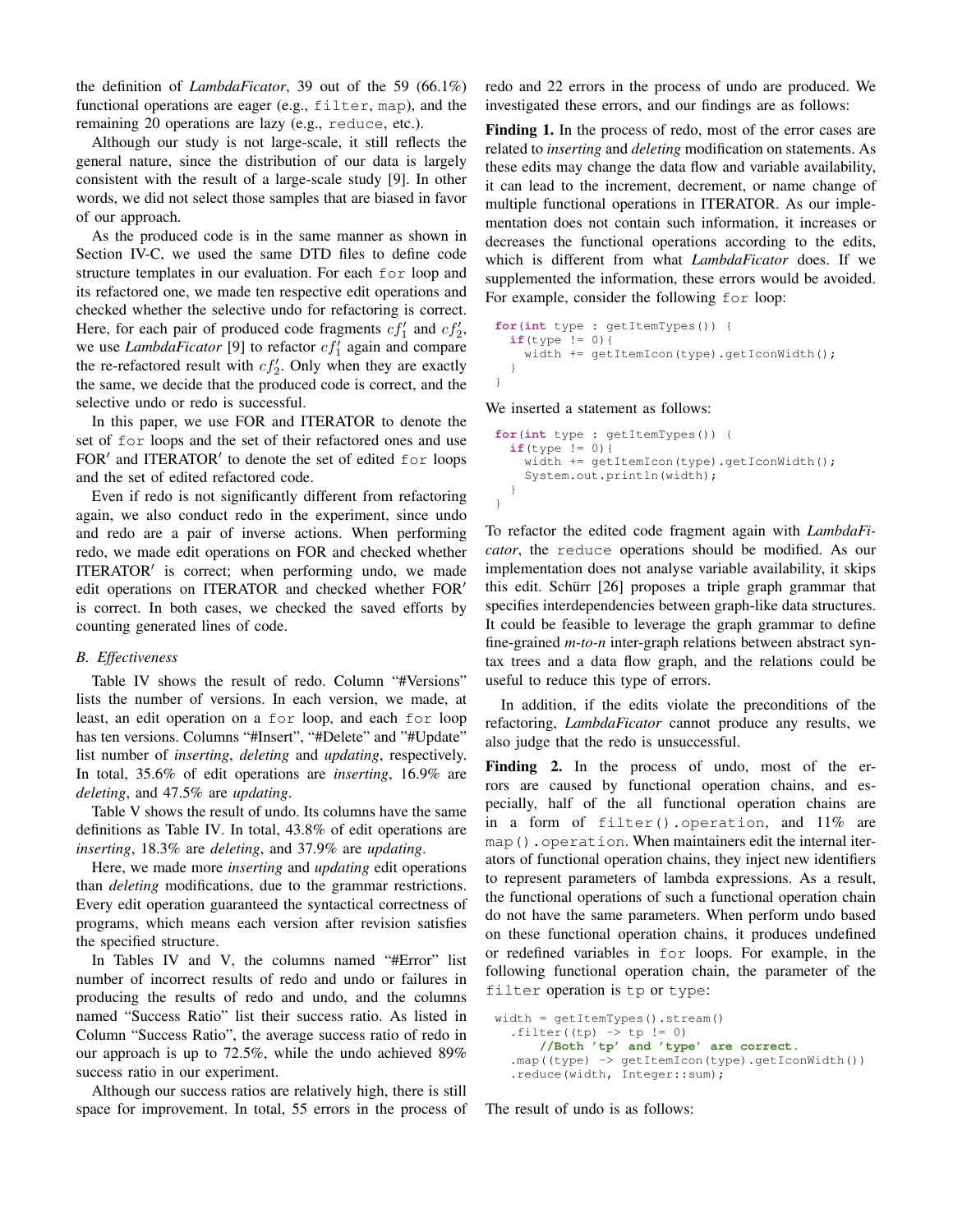the definition of *LambdaFicator*, 39 out of the 59 (66.1%) functional operations are eager (e.g., filter, map), and the remaining 20 operations are lazy (e.g., reduce, etc.).

Although our study is not large-scale, it still reflects the general nature, since the distribution of our data is largely consistent with the result of a large-scale study [9]. In other words, we did not select those samples that are biased in favor of our approach.

As the produced code is in the same manner as shown in Section IV-C, we used the same DTD files to define code structure templates in our evaluation. For each for loop and its refactored one, we made ten respective edit operations and checked whether the selective undo for refactoring is correct. Here, for each pair of produced code fragments  $cf'_1$  and  $cf'_2$ , we use *LambdaFicator* [9] to refactor  $cf'_1$  again and compare the re-refactored result with  $cf_2'$ . Only when they are exactly the same, we decide that the produced code is correct, and the selective undo or redo is successful.

In this paper, we use FOR and ITERATOR to denote the set of for loops and the set of their refactored ones and use FOR' and ITERATOR' to denote the set of edited for loops and the set of edited refactored code.

Even if redo is not significantly different from refactoring again, we also conduct redo in the experiment, since undo and redo are a pair of inverse actions. When performing redo, we made edit operations on FOR and checked whether ITERATOR' is correct; when performing undo, we made edit operations on ITERATOR and checked whether FOR' is correct. In both cases, we checked the saved efforts by counting generated lines of code.

#### *B. Effectiveness*

Table IV shows the result of redo. Column "#Versions" lists the number of versions. In each version, we made, at least, an edit operation on a for loop, and each for loop has ten versions. Columns "#Insert", "#Delete" and "#Update" list number of *inserting*, *deleting* and *updating*, respectively. In total, 35.6% of edit operations are *inserting*, 16.9% are *deleting*, and 47.5% are *updating*.

Table V shows the result of undo. Its columns have the same definitions as Table IV. In total, 43.8% of edit operations are *inserting*, 18.3% are *deleting*, and 37.9% are *updating*.

Here, we made more *inserting* and *updating* edit operations than *deleting* modifications, due to the grammar restrictions. Every edit operation guaranteed the syntactical correctness of programs, which means each version after revision satisfies the specified structure.

In Tables IV and V, the columns named "#Error" list number of incorrect results of redo and undo or failures in producing the results of redo and undo, and the columns named "Success Ratio" list their success ratio. As listed in Column "Success Ratio", the average success ratio of redo in our approach is up to 72.5%, while the undo achieved 89% success ratio in our experiment.

Although our success ratios are relatively high, there is still space for improvement. In total, 55 errors in the process of

redo and 22 errors in the process of undo are produced. We investigated these errors, and our findings are as follows:

Finding 1. In the process of redo, most of the error cases are related to *inserting* and *deleting* modification on statements. As these edits may change the data flow and variable availability, it can lead to the increment, decrement, or name change of multiple functional operations in ITERATOR. As our implementation does not contain such information, it increases or decreases the functional operations according to the edits, which is different from what *LambdaFicator* does. If we supplemented the information, these errors would be avoided. For example, consider the following for loop:

```
for(int type : getItemTypes()) {
 if(type != 0){
    width += getItemIcon(type).getIconWidth();
  }
}
```
We inserted a statement as follows:

```
for(int type : getItemTypes()) {
 if(type != 0) {
    width += getItemIcon(type).getIconWidth();
    System.out.println(width);
 }
}
```
To refactor the edited code fragment again with *LambdaFicator*, the reduce operations should be modified. As our implementation does not analyse variable availability, it skips this edit. Schürr  $[26]$  proposes a triple graph grammar that specifies interdependencies between graph-like data structures. It could be feasible to leverage the graph grammar to define fine-grained *m-to-n* inter-graph relations between abstract syntax trees and a data flow graph, and the relations could be useful to reduce this type of errors.

In addition, if the edits violate the preconditions of the refactoring, *LambdaFicator* cannot produce any results, we also judge that the redo is unsuccessful.

Finding 2. In the process of undo, most of the errors are caused by functional operation chains, and especially, half of the all functional operation chains are in a form of filter().operation, and 11% are map().operation. When maintainers edit the internal iterators of functional operation chains, they inject new identifiers to represent parameters of lambda expressions. As a result, the functional operations of such a functional operation chain do not have the same parameters. When perform undo based on these functional operation chains, it produces undefined or redefined variables in for loops. For example, in the following functional operation chain, the parameter of the filter operation is tp or type:

```
width = getItemTypes().stream()
  .filter((tp) \rightarrow tp != 0)
      //Both 'tp' and 'type' are correct.
  .map((type) -> getItemIcon(type).getIconWidth())
  .reduce(width, Integer::sum);
```
The result of undo is as follows: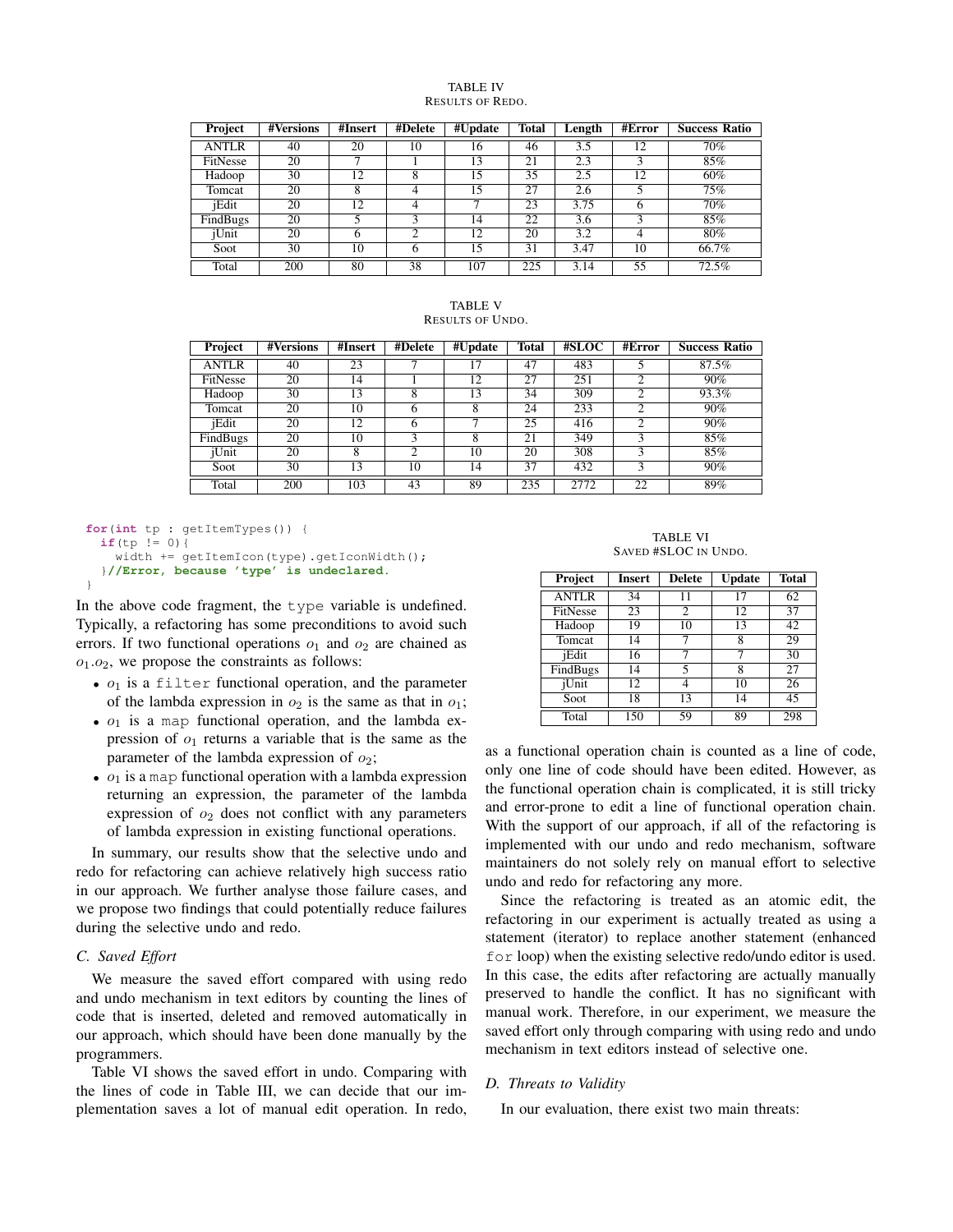#### TABLE IV RESULTS OF REDO.

| Project      | #Versions | #Insert | #Delete | #Update | <b>Total</b> | Length | #Error | <b>Success Ratio</b> |
|--------------|-----------|---------|---------|---------|--------------|--------|--------|----------------------|
| <b>ANTLR</b> | 40        | 20      | 10      | 16      | 46           | 3.5    | 12     | 70%                  |
| FitNesse     | 20        |         |         | 13      | 21           | 2.3    |        | 85%                  |
| Hadoop       | 30        | 12      | 8       | 15      | 35           | 2.5    | 12     | 60%                  |
| Tomcat       | 20        | 8       | 4       | 15      | 27           | 2.6    |        | 75%                  |
| iEdit        | 20        | 12      | 4       |         | 23           | 3.75   | n      | 70%                  |
| FindBugs     | 20        |         | 3       | 14      | 22           | 3.6    |        | 85%                  |
| iUnit        | 20        | 6       | ◠       | 12      | 20           | 3.2    |        | 80%                  |
| Soot         | 30        | 10      | 6       | 15      | 31           | 3.47   | 10     | 66.7%                |
| Total        | 200       | 80      | 38      | 107     | 225          | 3.14   | 55     | 72.5%                |

#### TABLE V RESULTS OF UNDO.

| Project      | #Versions | #Insert | #Delete | #Update | <b>Total</b> | #SLOC | #Error         | <b>Success Ratio</b> |
|--------------|-----------|---------|---------|---------|--------------|-------|----------------|----------------------|
| <b>ANTLR</b> | 40        | 23      |         | 17      | 47           | 483   |                | 87.5%                |
| FitNesse     | 20        | 14      |         | 12      | 27           | 251   | ◠              | 90%                  |
| Hadoop       | 30        | 13      | 8       | 13      | 34           | 309   | 2              | 93.3%                |
| Tomcat       | 20        | 10      | 6       | 8       | 24           | 233   | $\overline{c}$ | 90%                  |
| iEdit        | 20        | 12      | h       |         | 25           | 416   | 2              | 90%                  |
| FindBugs     | 20        | 10      | 3       | 8       | 21           | 349   |                | 85%                  |
| iUnit        | 20        | 8       | ◠       | 10      | 20           | 308   |                | 85%                  |
| Soot         | 30        | 13      | 10      | 14      | 37           | 432   | 3              | 90%                  |
| Total        | 200       | 103     | 43      | 89      | 235          | 2772  | 22             | 89%                  |

```
for(int tp : getItemTypes()) {
 if(tp != 0){
    width += getItemIcon(type).getIconWidth();
  }//Error, because 'type' is undeclared.
}
```
In the above code fragment, the type variable is undefined. Typically, a refactoring has some preconditions to avoid such errors. If two functional operations  $o_1$  and  $o_2$  are chained as  $o_1.o_2$ , we propose the constraints as follows:

- $o_1$  is a filter functional operation, and the parameter of the lambda expression in  $o_2$  is the same as that in  $o_1$ ;
- $o_1$  is a map functional operation, and the lambda expression of  $o_1$  returns a variable that is the same as the parameter of the lambda expression of  $o_2$ ;
- $o_1$  is a map functional operation with a lambda expression returning an expression, the parameter of the lambda expression of  $o_2$  does not conflict with any parameters of lambda expression in existing functional operations.

In summary, our results show that the selective undo and redo for refactoring can achieve relatively high success ratio in our approach. We further analyse those failure cases, and we propose two findings that could potentially reduce failures during the selective undo and redo.

## *C. Saved Effort*

We measure the saved effort compared with using redo and undo mechanism in text editors by counting the lines of code that is inserted, deleted and removed automatically in our approach, which should have been done manually by the programmers.

Table VI shows the saved effort in undo. Comparing with the lines of code in Table III, we can decide that our implementation saves a lot of manual edit operation. In redo,

TABLE VI SAVED #SLOC IN UNDO.

| Project      | Insert | <b>Delete</b> | <b>Update</b> | <b>Total</b> |
|--------------|--------|---------------|---------------|--------------|
| <b>ANTLR</b> | 34     | 11            | 17            | 62           |
| FitNesse     | 23     | 2             | 12            | 37           |
| Hadoop       | 19     | 10            | 13            | 42           |
| Tomcat       | 14     |               | 8             | 29           |
| iEdit        | 16     |               |               | 30           |
| FindBugs     | 14     | 5             | 8             | 27           |
| iUnit        | 12     |               | 10            | 26           |
| Soot         | 18     | 13            | 14            | 45           |
| Total        | 150    | 59            | 89            | 298          |

as a functional operation chain is counted as a line of code, only one line of code should have been edited. However, as the functional operation chain is complicated, it is still tricky and error-prone to edit a line of functional operation chain. With the support of our approach, if all of the refactoring is implemented with our undo and redo mechanism, software maintainers do not solely rely on manual effort to selective undo and redo for refactoring any more.

Since the refactoring is treated as an atomic edit, the refactoring in our experiment is actually treated as using a statement (iterator) to replace another statement (enhanced for loop) when the existing selective redo/undo editor is used. In this case, the edits after refactoring are actually manually preserved to handle the conflict. It has no significant with manual work. Therefore, in our experiment, we measure the saved effort only through comparing with using redo and undo mechanism in text editors instead of selective one.

## *D. Threats to Validity*

In our evaluation, there exist two main threats: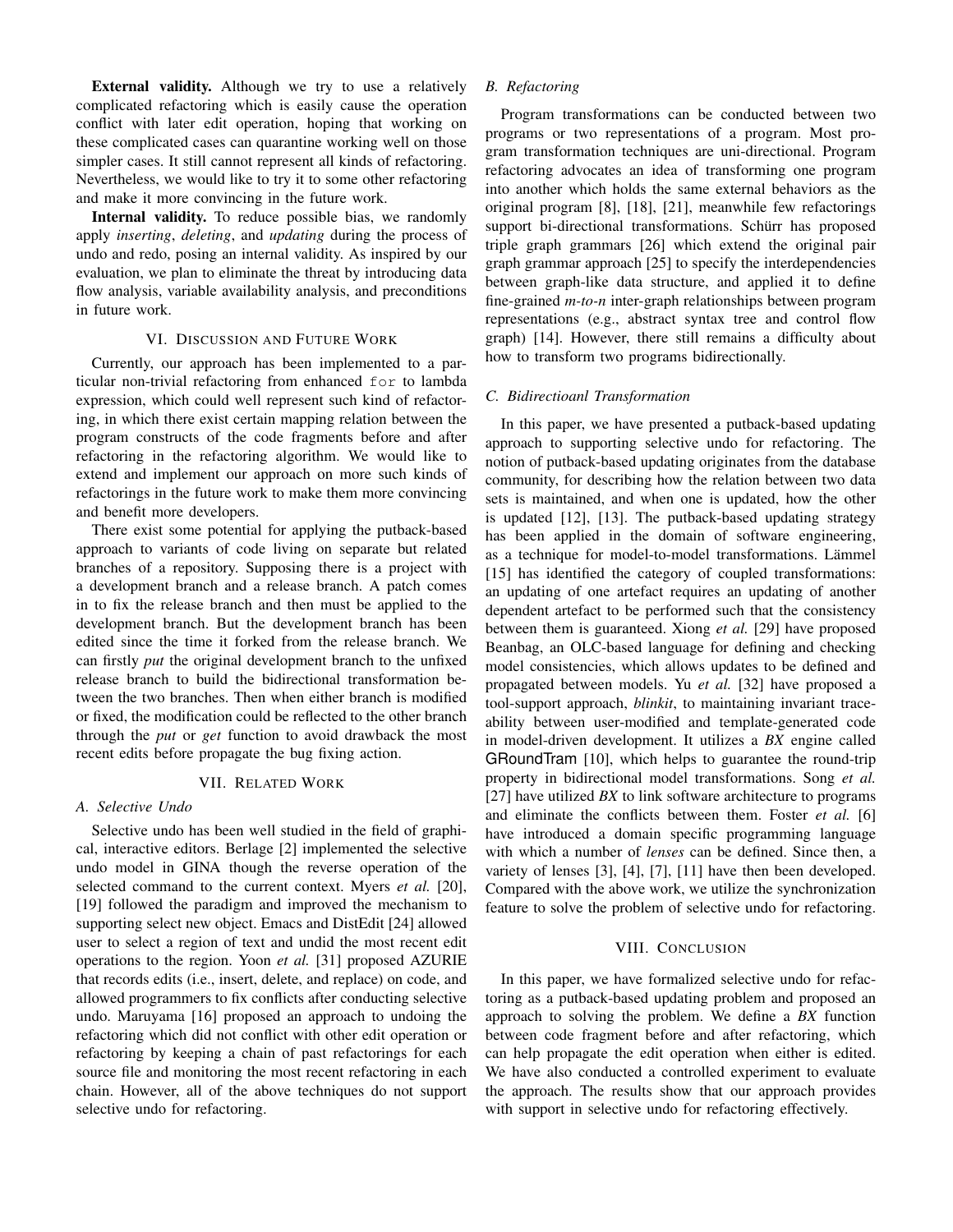External validity. Although we try to use a relatively complicated refactoring which is easily cause the operation conflict with later edit operation, hoping that working on these complicated cases can quarantine working well on those simpler cases. It still cannot represent all kinds of refactoring. Nevertheless, we would like to try it to some other refactoring and make it more convincing in the future work.

Internal validity. To reduce possible bias, we randomly apply *inserting*, *deleting*, and *updating* during the process of undo and redo, posing an internal validity. As inspired by our evaluation, we plan to eliminate the threat by introducing data flow analysis, variable availability analysis, and preconditions in future work.

#### VI. DISCUSSION AND FUTURE WORK

Currently, our approach has been implemented to a particular non-trivial refactoring from enhanced for to lambda expression, which could well represent such kind of refactoring, in which there exist certain mapping relation between the program constructs of the code fragments before and after refactoring in the refactoring algorithm. We would like to extend and implement our approach on more such kinds of refactorings in the future work to make them more convincing and benefit more developers.

There exist some potential for applying the putback-based approach to variants of code living on separate but related branches of a repository. Supposing there is a project with a development branch and a release branch. A patch comes in to fix the release branch and then must be applied to the development branch. But the development branch has been edited since the time it forked from the release branch. We can firstly *put* the original development branch to the unfixed release branch to build the bidirectional transformation between the two branches. Then when either branch is modified or fixed, the modification could be reflected to the other branch through the *put* or *get* function to avoid drawback the most recent edits before propagate the bug fixing action.

#### VII. RELATED WORK

#### *A. Selective Undo*

Selective undo has been well studied in the field of graphical, interactive editors. Berlage [2] implemented the selective undo model in GINA though the reverse operation of the selected command to the current context. Myers *et al.* [20], [19] followed the paradigm and improved the mechanism to supporting select new object. Emacs and DistEdit [24] allowed user to select a region of text and undid the most recent edit operations to the region. Yoon *et al.* [31] proposed AZURIE that records edits (i.e., insert, delete, and replace) on code, and allowed programmers to fix conflicts after conducting selective undo. Maruyama [16] proposed an approach to undoing the refactoring which did not conflict with other edit operation or refactoring by keeping a chain of past refactorings for each source file and monitoring the most recent refactoring in each chain. However, all of the above techniques do not support selective undo for refactoring.

## *B. Refactoring*

Program transformations can be conducted between two programs or two representations of a program. Most program transformation techniques are uni-directional. Program refactoring advocates an idea of transforming one program into another which holds the same external behaviors as the original program [8], [18], [21], meanwhile few refactorings support bi-directional transformations. Schürr has proposed triple graph grammars [26] which extend the original pair graph grammar approach [25] to specify the interdependencies between graph-like data structure, and applied it to define fine-grained *m-to-n* inter-graph relationships between program representations (e.g., abstract syntax tree and control flow graph) [14]. However, there still remains a difficulty about how to transform two programs bidirectionally.

#### *C. Bidirectioanl Transformation*

In this paper, we have presented a putback-based updating approach to supporting selective undo for refactoring. The notion of putback-based updating originates from the database community, for describing how the relation between two data sets is maintained, and when one is updated, how the other is updated [12], [13]. The putback-based updating strategy has been applied in the domain of software engineering, as a technique for model-to-model transformations. Lämmel [15] has identified the category of coupled transformations: an updating of one artefact requires an updating of another dependent artefact to be performed such that the consistency between them is guaranteed. Xiong *et al.* [29] have proposed Beanbag, an OLC-based language for defining and checking model consistencies, which allows updates to be defined and propagated between models. Yu *et al.* [32] have proposed a tool-support approach, *blinkit*, to maintaining invariant traceability between user-modified and template-generated code in model-driven development. It utilizes a *BX* engine called GRoundTram [10], which helps to guarantee the round-trip property in bidirectional model transformations. Song *et al.* [27] have utilized *BX* to link software architecture to programs and eliminate the conflicts between them. Foster *et al.* [6] have introduced a domain specific programming language with which a number of *lenses* can be defined. Since then, a variety of lenses [3], [4], [7], [11] have then been developed. Compared with the above work, we utilize the synchronization feature to solve the problem of selective undo for refactoring.

#### VIII. CONCLUSION

In this paper, we have formalized selective undo for refactoring as a putback-based updating problem and proposed an approach to solving the problem. We define a *BX* function between code fragment before and after refactoring, which can help propagate the edit operation when either is edited. We have also conducted a controlled experiment to evaluate the approach. The results show that our approach provides with support in selective undo for refactoring effectively.